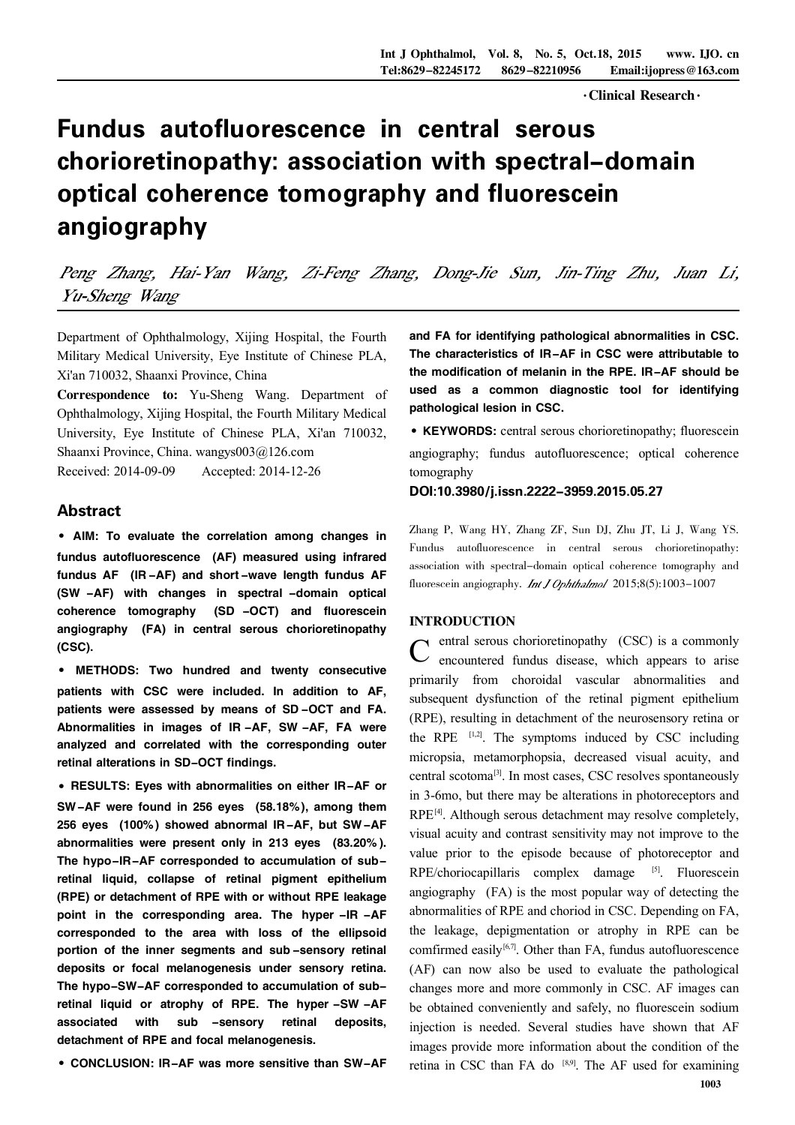· Clinical Research ·

# Fundus autofluorescence in central serous chorioretinopathy: association with spectral-domain optical coherence tomography and fluorescein angiography

Peng Zhang, Hai-Yan Wang, Zi-Feng Zhang, Dong-Jie Sun, Jin-Ting Zhu, Juan Li, Yu-Sheng Wang

Department of Ophthalmology, Xijing Hospital, the Fourth Military Medical University, Eye Institute of Chinese PLA, Xi'an 710032, Shaanxi Province, China

Correspondence to: Yu-Sheng Wang. Department of Ophthalmology, Xijing Hospital, the Fourth Military Medical University, Eye Institute of Chinese PLA, Xi'an 710032, Shaanxi Province, China. wangys003@126.com Received: 2014-09-09 Accepted: 2014-12-26

Abstract

·AIM: To evaluate the correlation among changes in fundus autofluorescence (AF) measured using infrared fundus AF (IR -AF) and short -wave length fundus AF (SW -AF) with changes in spectral -domain optical coherence tomography (SD -OCT) and fluorescein angiography (FA) in central serous chorioretinopathy (CSC).

· METHODS: Two hundred and twenty consecutive patients with CSC were included. In addition to AF, patients were assessed by means of SD -OCT and FA. Abnormalities in images of IR -AF, SW -AF, FA were analyzed and correlated with the corresponding outer retinal alterations in SD-OCT findings.

·RESULTS: Eyes with abnormalities on either IR-AF or SW-AF were found in 256 eyes (58.18%), among them 256 eyes (100%) showed abnormal IR-AF, but SW-AF abnormalities were present only in 213 eyes (83.20% ). The hypo-IR-AF corresponded to accumulation of subretinal liquid, collapse of retinal pigment epithelium (RPE) or detachment of RPE with or without RPE leakage point in the corresponding area. The hyper -IR -AF corresponded to the area with loss of the ellipsoid portion of the inner segments and sub -sensory retinal deposits or focal melanogenesis under sensory retina. The hypo-SW-AF corresponded to accumulation of subretinal liquid or atrophy of RPE. The hyper -SW -AF associated with sub -sensory retinal deposits, detachment of RPE and focal melanogenesis.

·CONCLUSION: IR-AF was more sensitive than SW-AF

and FA for identifying pathological abnormalities in CSC. The characteristics of IR-AF in CSC were attributable to the modification of melanin in the RPE. IR-AF should be used as a common diagnostic tool for identifying pathological lesion in CSC.

·KEYWORDS: central serous chorioretinopathy; fluorescein angiography; fundus autofluorescence; optical coherence tomography

DOI:10.3980/j.issn.2222-3959.2015.05.27

Zhang P, Wang HY, Zhang ZF, Sun DJ, Zhu JT, Li J, Wang YS. Fundus autofluorescence in central serous chorioretinopathy: association with spectral-domain optical coherence tomography and fluorescein angiography. Int J Ophthalmol 2015;8(5):1003-1007

## INTRODUCTION

C entral serous chorioretinopathy (CSC) is a commonly encountered fundus disease, which appears to arise  $\sim$  encountered fundus disease, which appears to arise primarily from choroidal vascular abnormalities and subsequent dysfunction of the retinal pigment epithelium (RPE), resulting in detachment of the neurosensory retina or the RPE  $[1,2]$ . The symptoms induced by CSC including micropsia, metamorphopsia, decreased visual acuity, and central scotoma<sup>[3]</sup>. In most cases, CSC resolves spontaneously in 3-6mo, but there may be alterations in photoreceptors and RPE<sup>[4]</sup>. Although serous detachment may resolve completely, visual acuity and contrast sensitivity may not improve to the value prior to the episode because of photoreceptor and RPE/choriocapillaris complex damage <sup>[5]</sup>. Fluorescein angiography (FA) is the most popular way of detecting the abnormalities of RPE and choriod in CSC. Depending on FA, the leakage, depigmentation or atrophy in RPE can be comfirmed easily $[6,7]$ . Other than FA, fundus autofluorescence (AF) can now also be used to evaluate the pathological changes more and more commonly in CSC. AF images can be obtained conveniently and safely, no fluorescein sodium injection is needed. Several studies have shown that AF images provide more information about the condition of the retina in CSC than FA do  $[8,9]$ . The AF used for examining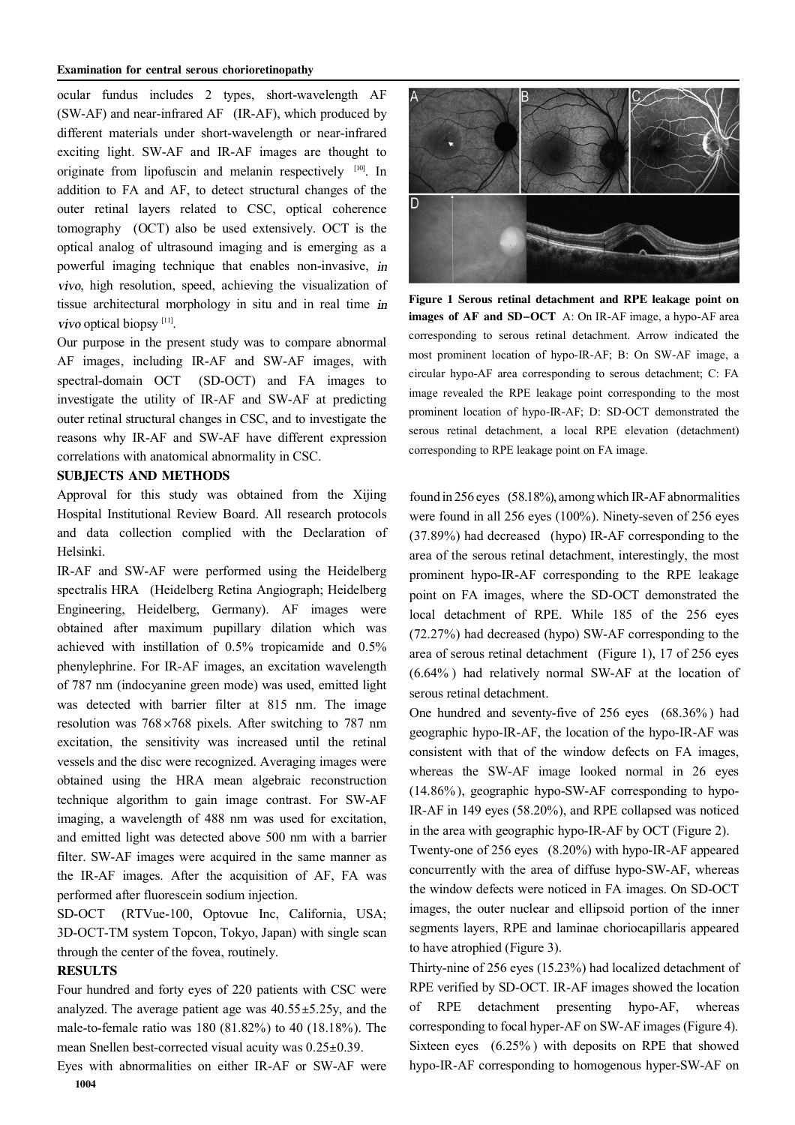#### Examination for central serous chorioretinopathy

ocular fundus includes 2 types, short-wavelength AF (SW-AF) and near-infrared AF (IR-AF), which produced by different materials under short-wavelength or near-infrared exciting light. SW-AF and IR-AF images are thought to originate from lipofuscin and melanin respectively [10]. In addition to FA and AF, to detect structural changes of the outer retinal layers related to CSC, optical coherence tomography (OCT) also be used extensively. OCT is the optical analog of ultrasound imaging and is emerging as a powerful imaging technique that enables non-invasive, in , high resolution, speed, achieving the visualization of tissue architectural morphology in situ and in real time optical biopsy [11] .

Our purpose in the present study was to compare abnormal AF images, including IR-AF and SW-AF images, with spectral-domain OCT (SD-OCT) and FA images to investigate the utility of IR-AF and SW-AF at predicting outer retinal structural changes in CSC, and to investigate the reasons why IR-AF and SW-AF have different expression correlations with anatomical abnormality in CSC.

### SUBJECTS AND METHODS

Approval for this study was obtained from the Xijing Hospital Institutional Review Board. All research protocols and data collection complied with the Declaration of Helsinki.

IR-AF and SW-AF were performed using the Heidelberg spectralis HRA (Heidelberg Retina Angiograph; Heidelberg Engineering, Heidelberg, Germany). AF images were obtained after maximum pupillary dilation which was achieved with instillation of 0.5% tropicamide and 0.5% phenylephrine. For IR-AF images, an excitation wavelength of 787 nm (indocyanine green mode) was used, emitted light was detected with barrier filter at 815 nm. The image resolution was  $768 \times 768$  pixels. After switching to 787 nm excitation, the sensitivity was increased until the retinal vessels and the disc were recognized. Averaging images were obtained using the HRA mean algebraic reconstruction technique algorithm to gain image contrast. For SW-AF imaging, a wavelength of 488 nm was used for excitation, and emitted light was detected above 500 nm with a barrier filter. SW-AF images were acquired in the same manner as the IR-AF images. After the acquisition of AF, FA was performed after fluorescein sodium injection.

SD-OCT (RTVue-100, Optovue Inc, California, USA; 3D-OCT-TM system Topcon, Tokyo, Japan) with single scan through the center of the fovea, routinely.

## **RESULTS**

Four hundred and forty eyes of 220 patients with CSC were analyzed. The average patient age was  $40.55 \pm 5.25y$ , and the male-to-female ratio was 180 (81.82%) to 40 (18.18%). The mean Snellen best-corrected visual acuity was  $0.25 \pm 0.39$ .

Eyes with abnormalities on either IR-AF or SW-AF were 1004



Figure 1 Serous retinal detachment and RPE leakage point on images of AF and SD-OCT A: On IR-AF image, a hypo-AF area corresponding to serous retinal detachment. Arrow indicated the most prominent location of hypo-IR-AF; B: On SW-AF image, a circular hypo-AF area corresponding to serous detachment; C: FA image revealed the RPE leakage point corresponding to the most prominent location of hypo-IR-AF; D: SD-OCT demonstrated the serous retinal detachment, a local RPE elevation (detachment) corresponding to RPE leakage point on FA image.

found in 256 eyes (58.18%), among which IR-AF abnormalities were found in all 256 eyes (100%). Ninety-seven of 256 eyes (37.89%) had decreased (hypo) IR-AF corresponding to the area of the serous retinal detachment, interestingly, the most prominent hypo-IR-AF corresponding to the RPE leakage point on FA images, where the SD-OCT demonstrated the local detachment of RPE. While 185 of the 256 eyes (72.27%) had decreased (hypo) SW-AF corresponding to the area of serous retinal detachment (Figure 1), 17 of 256 eyes (6.64% ) had relatively normal SW-AF at the location of serous retinal detachment.

One hundred and seventy-five of 256 eyes (68.36% ) had geographic hypo-IR-AF, the location of the hypo-IR-AF was consistent with that of the window defects on FA images, whereas the SW-AF image looked normal in 26 eyes (14.86%), geographic hypo-SW-AF corresponding to hypo-IR-AF in 149 eyes (58.20%), and RPE collapsed was noticed in the area with geographic hypo-IR-AF by OCT (Figure 2).

Twenty-one of 256 eyes (8.20%) with hypo-IR-AF appeared concurrently with the area of diffuse hypo-SW-AF, whereas the window defects were noticed in FA images. On SD-OCT images, the outer nuclear and ellipsoid portion of the inner segments layers, RPE and laminae choriocapillaris appeared to have atrophied (Figure 3).

Thirty-nine of 256 eyes (15.23%) had localized detachment of RPE verified by SD-OCT. IR-AF images showed the location of RPE detachment presenting hypo-AF, whereas corresponding to focal hyper-AF on SW-AF images (Figure 4). Sixteen eyes (6.25% ) with deposits on RPE that showed hypo-IR-AF corresponding to homogenous hyper-SW-AF on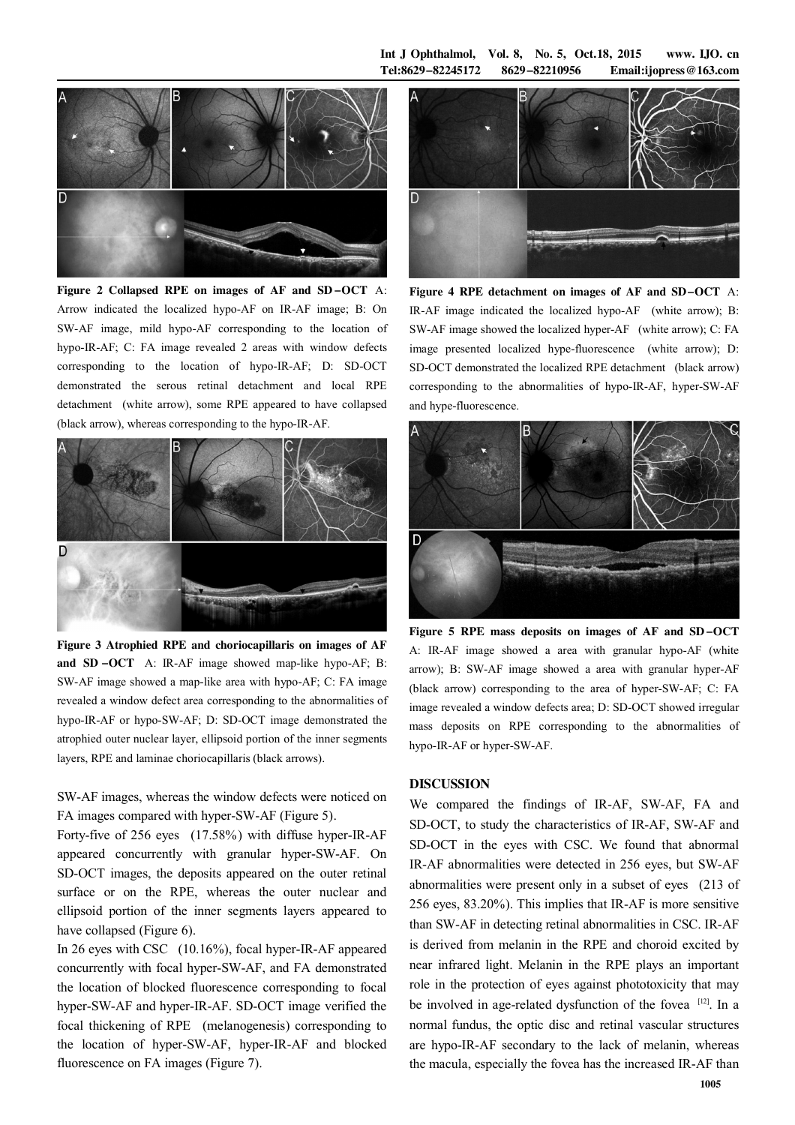Int J Ophthalmol, Vol. 8, No. 5, Oct.18, 2015 www. IJO. cn  $Tel:8629 - 82245172$   $8629 - 82210956$  Email:ijopress@163.com



Figure 2 Collapsed RPE on images of AF and SD -OCT A: Arrow indicated the localized hypo-AF on IR-AF image; B: On SW-AF image, mild hypo-AF corresponding to the location of hypo-IR-AF; C: FA image revealed 2 areas with window defects corresponding to the location of hypo-IR-AF; D: SD-OCT demonstrated the serous retinal detachment and local RPE detachment (white arrow), some RPE appeared to have collapsed (black arrow), whereas corresponding to the hypo-IR-AF.



Figure 3 Atrophied RPE and choriocapillaris on images of AF and SD -OCT A: IR-AF image showed map-like hypo-AF; B: SW-AF image showed a map-like area with hypo-AF; C: FA image revealed a window defect area corresponding to the abnormalities of hypo-IR-AF or hypo-SW-AF; D: SD-OCT image demonstrated the atrophied outer nuclear layer, ellipsoid portion of the inner segments layers, RPE and laminae choriocapillaris (black arrows).

SW-AF images, whereas the window defects were noticed on FA images compared with hyper-SW-AF (Figure 5).

Forty-five of 256 eyes (17.58%) with diffuse hyper-IR-AF appeared concurrently with granular hyper-SW-AF. On SD-OCT images, the deposits appeared on the outer retinal surface or on the RPE, whereas the outer nuclear and ellipsoid portion of the inner segments layers appeared to have collapsed (Figure 6).

In 26 eyes with CSC (10.16%), focal hyper-IR-AF appeared concurrently with focal hyper-SW-AF, and FA demonstrated the location of blocked fluorescence corresponding to focal hyper-SW-AF and hyper-IR-AF. SD-OCT image verified the focal thickening of RPE (melanogenesis) corresponding to the location of hyper-SW-AF, hyper-IR-AF and blocked fluorescence on FA images (Figure 7).



Figure 4 RPE detachment on images of AF and SD-OCT A: IR-AF image indicated the localized hypo-AF (white arrow); B: SW-AF image showed the localized hyper-AF (white arrow); C: FA image presented localized hype-fluorescence (white arrow); D: SD-OCT demonstrated the localized RPE detachment (black arrow) corresponding to the abnormalities of hypo-IR-AF, hyper-SW-AF and hype-fluorescence.



Figure 5 RPE mass deposits on images of AF and SD-OCT A: IR-AF image showed a area with granular hypo-AF (white arrow); B: SW-AF image showed a area with granular hyper-AF (black arrow) corresponding to the area of hyper-SW-AF; C: FA image revealed a window defects area; D: SD-OCT showed irregular mass deposits on RPE corresponding to the abnormalities of hypo-IR-AF or hyper-SW-AF.

## DISCUSSION

We compared the findings of IR-AF, SW-AF, FA and SD-OCT, to study the characteristics of IR-AF, SW-AF and SD-OCT in the eyes with CSC. We found that abnormal IR-AF abnormalities were detected in 256 eyes, but SW-AF abnormalities were present only in a subset of eyes (213 of 256 eyes, 83.20%). This implies that IR-AF is more sensitive than SW-AF in detecting retinal abnormalities in CSC. IR-AF is derived from melanin in the RPE and choroid excited by near infrared light. Melanin in the RPE plays an important role in the protection of eyes against phototoxicity that may be involved in age-related dysfunction of the fovea [12]. In a normal fundus, the optic disc and retinal vascular structures are hypo-IR-AF secondary to the lack of melanin, whereas the macula, especially the fovea has the increased IR-AF than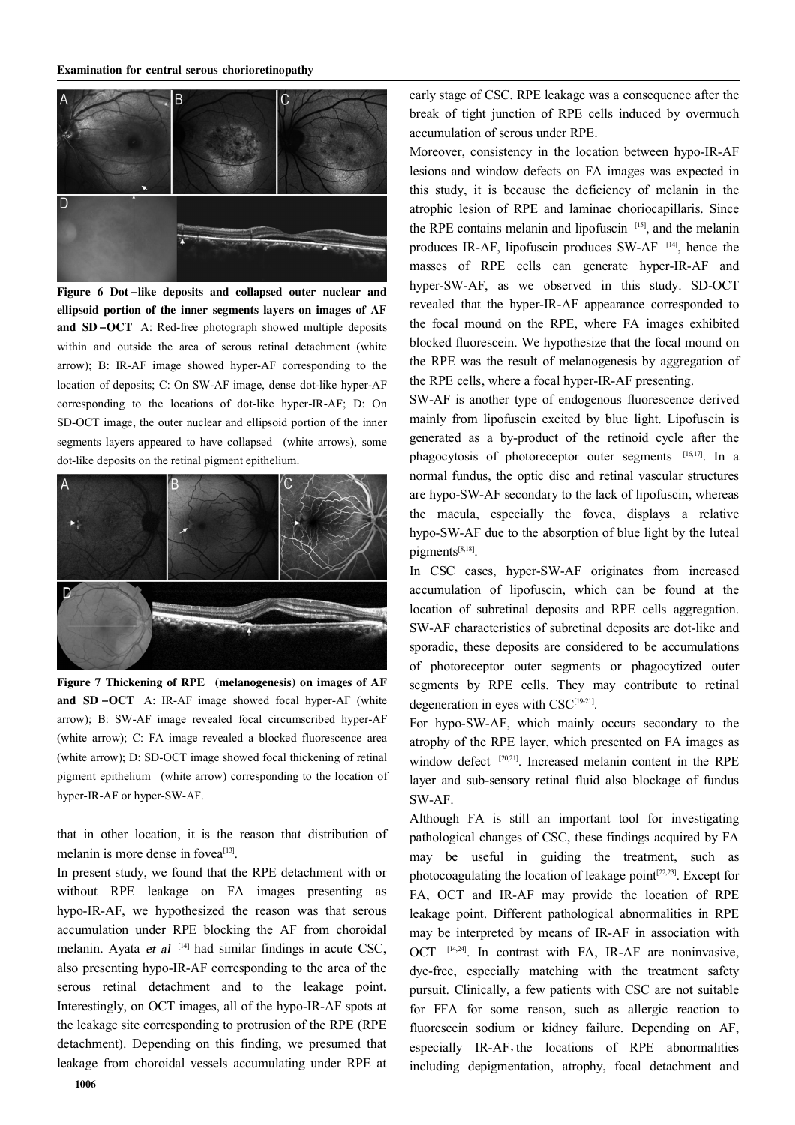

Figure 6 Dot -like deposits and collapsed outer nuclear and ellipsoid portion of the inner segments layers on images of AF and SD -OCT A: Red-free photograph showed multiple deposits within and outside the area of serous retinal detachment (white arrow); B: IR-AF image showed hyper-AF corresponding to the location of deposits; C: On SW-AF image, dense dot-like hyper-AF corresponding to the locations of dot-like hyper-IR-AF; D: On SD-OCT image, the outer nuclear and ellipsoid portion of the inner segments layers appeared to have collapsed (white arrows), some dot-like deposits on the retinal pigment epithelium.



Figure 7 Thickening of RPE (melanogenesis) on images of AF and SD -OCT A: IR-AF image showed focal hyper-AF (white arrow); B: SW-AF image revealed focal circumscribed hyper-AF (white arrow); C: FA image revealed a blocked fluorescence area (white arrow); D: SD-OCT image showed focal thickening of retinal pigment epithelium (white arrow) corresponding to the location of hyper-IR-AF or hyper-SW-AF.

that in other location, it is the reason that distribution of melanin is more dense in fovea<sup>[13]</sup>.

In present study, we found that the RPE detachment with or without RPE leakage on FA images presenting as hypo-IR-AF, we hypothesized the reason was that serous accumulation under RPE blocking the AF from choroidal melanin. Ayata et al  $[14]$  had similar findings in acute CSC, also presenting hypo-IR-AF corresponding to the area of the serous retinal detachment and to the leakage point. Interestingly, on OCT images, all of the hypo-IR-AF spots at the leakage site corresponding to protrusion of the RPE (RPE detachment). Depending on this finding, we presumed that leakage from choroidal vessels accumulating under RPE at

early stage of CSC. RPE leakage was a consequence after the break of tight junction of RPE cells induced by overmuch accumulation of serous under RPE.

Moreover, consistency in the location between hypo-IR-AF lesions and window defects on FA images was expected in this study, it is because the deficiency of melanin in the atrophic lesion of RPE and laminae choriocapillaris. Since the RPE contains melanin and lipofuscin [15], and the melanin produces IR-AF, lipofuscin produces  $SW-AF$ <sup>[14]</sup>, hence the masses of RPE cells can generate hyper-IR-AF and hyper-SW-AF, as we observed in this study. SD-OCT revealed that the hyper-IR-AF appearance corresponded to the focal mound on the RPE, where FA images exhibited blocked fluorescein. We hypothesize that the focal mound on the RPE was the result of melanogenesis by aggregation of the RPE cells, where a focal hyper-IR-AF presenting.

SW-AF is another type of endogenous fluorescence derived mainly from lipofuscin excited by blue light. Lipofuscin is generated as a by-product of the retinoid cycle after the phagocytosis of photoreceptor outer segments [16,17]. In a normal fundus, the optic disc and retinal vascular structures are hypo-SW-AF secondary to the lack of lipofuscin, whereas the macula, especially the fovea, displays a relative hypo-SW-AF due to the absorption of blue light by the luteal pigments<sup>[8,18]</sup>.

In CSC cases, hyper-SW-AF originates from increased accumulation of lipofuscin, which can be found at the location of subretinal deposits and RPE cells aggregation. SW-AF characteristics of subretinal deposits are dot-like and sporadic, these deposits are considered to be accumulations of photoreceptor outer segments or phagocytized outer segments by RPE cells. They may contribute to retinal degeneration in eyes with CSC<sup>[19-21]</sup>.

For hypo-SW-AF, which mainly occurs secondary to the atrophy of the RPE layer, which presented on FA images as window defect <sup>[20,21]</sup>. Increased melanin content in the RPE layer and sub-sensory retinal fluid also blockage of fundus SW-AF.

Although FA is still an important tool for investigating pathological changes of CSC, these findings acquired by FA may be useful in guiding the treatment, such as photocoagulating the location of leakage point<sup>[22,23]</sup>. Except for FA, OCT and IR-AF may provide the location of RPE leakage point. Different pathological abnormalities in RPE may be interpreted by means of IR-AF in association with OCT [14,24]. In contrast with FA, IR-AF are noninvasive, dye-free, especially matching with the treatment safety pursuit. Clinically, a few patients with CSC are not suitable for FFA for some reason, such as allergic reaction to fluorescein sodium or kidney failure. Depending on AF, especially IR-AF,the locations of RPE abnormalities including depigmentation, atrophy, focal detachment and